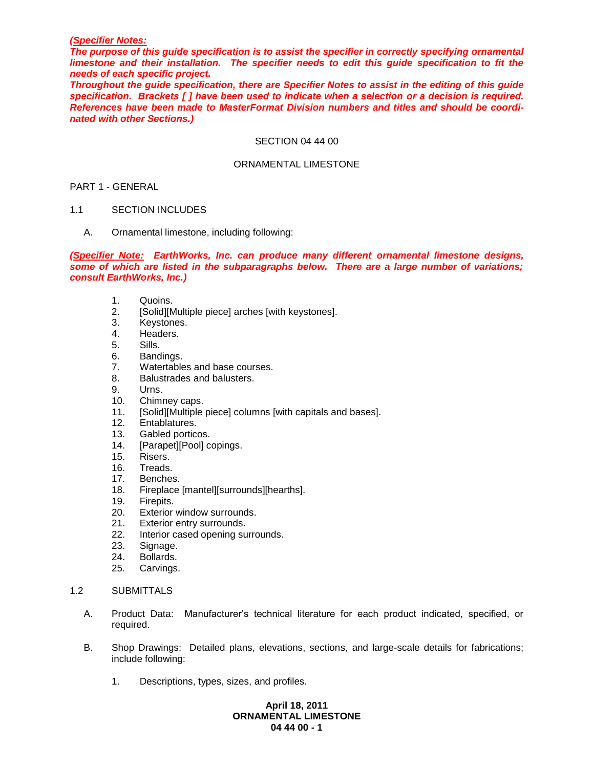### *(Specifier Notes:*

*The purpose of this guide specification is to assist the specifier in correctly specifying ornamental limestone and their installation. The specifier needs to edit this guide specification to fit the needs of each specific project.* 

*Throughout the guide specification, there are Specifier Notes to assist in the editing of this guide specification. Brackets [ ] have been used to indicate when a selection or a decision is required. References have been made to MasterFormat Division numbers and titles and should be coordinated with other Sections.)*

### SECTION 04 44 00

### ORNAMENTAL LIMESTONE

### PART 1 - GENERAL

### 1.1 SECTION INCLUDES

A. Ornamental limestone, including following:

*(Specifier Note: EarthWorks, Inc. can produce many different ornamental limestone designs, some of which are listed in the subparagraphs below. There are a large number of variations; consult EarthWorks, Inc.)*

- 1. Quoins.
- 2. [Solid][Multiple piece] arches [with keystones].
- 3. Keystones.
- 4. Headers.
- 5. Sills.
- 6. Bandings.
- 7. Watertables and base courses.
- 8. Balustrades and balusters.
- 9. Urns.
- 10. Chimney caps.
- 11. [Solid][Multiple piece] columns [with capitals and bases].
- 12. Entablatures.
- 13. Gabled porticos.
- 14. [Parapet][Pool] copings.
- 15. Risers.
- 16. Treads.
- 
- 17. Benches.<br>18. Fireplace Fireplace [mantel][surrounds][hearths].
- 19. Firepits.
- 20. Exterior window surrounds.
- 21. Exterior entry surrounds.
- 22. Interior cased opening surrounds.
- 23. Signage.
- 24. Bollards.
- 25. Carvings.
- 1.2 SUBMITTALS
	- A. Product Data: Manufacturer's technical literature for each product indicated, specified, or required.
	- B. Shop Drawings: Detailed plans, elevations, sections, and large-scale details for fabrications; include following:
		- 1. Descriptions, types, sizes, and profiles.

# **April 18, 2011 ORNAMENTAL LIMESTONE 04 44 00 - 1**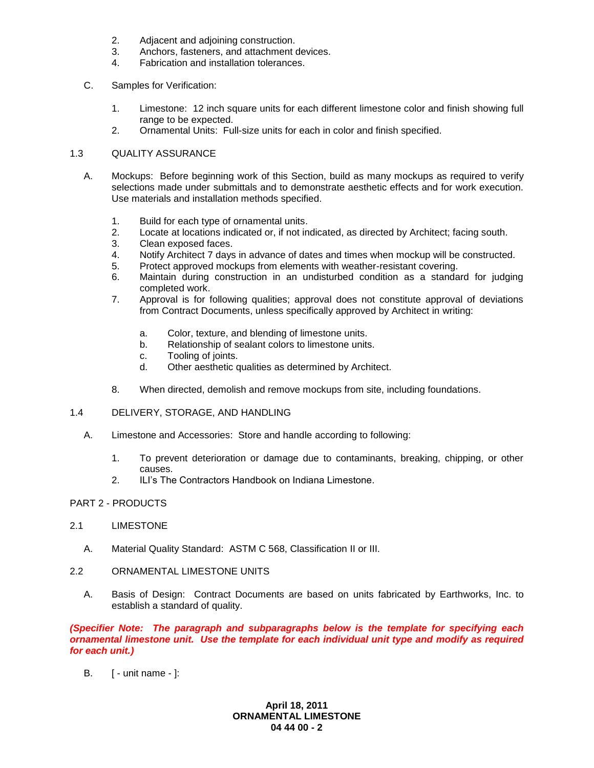- 2. Adjacent and adjoining construction.
- 3. Anchors, fasteners, and attachment devices.
- 4. Fabrication and installation tolerances.
- C. Samples for Verification:
	- 1. Limestone: 12 inch square units for each different limestone color and finish showing full range to be expected.
	- 2. Ornamental Units: Full-size units for each in color and finish specified.

# 1.3 QUALITY ASSURANCE

- A. Mockups: Before beginning work of this Section, build as many mockups as required to verify selections made under submittals and to demonstrate aesthetic effects and for work execution. Use materials and installation methods specified.
	- 1. Build for each type of ornamental units.
	- 2. Locate at locations indicated or, if not indicated, as directed by Architect; facing south.
	- 3. Clean exposed faces.
	- 4. Notify Architect 7 days in advance of dates and times when mockup will be constructed.
	- 5. Protect approved mockups from elements with weather-resistant covering.
	- 6. Maintain during construction in an undisturbed condition as a standard for judging completed work.
	- 7. Approval is for following qualities; approval does not constitute approval of deviations from Contract Documents, unless specifically approved by Architect in writing:
		- a. Color, texture, and blending of limestone units.
		- b. Relationship of sealant colors to limestone units.
		- c. Tooling of joints.
		- d. Other aesthetic qualities as determined by Architect.
	- 8. When directed, demolish and remove mockups from site, including foundations.

### 1.4 DELIVERY, STORAGE, AND HANDLING

- A. Limestone and Accessories: Store and handle according to following:
	- 1. To prevent deterioration or damage due to contaminants, breaking, chipping, or other causes.
	- 2. ILI's The Contractors Handbook on Indiana Limestone.

# PART 2 - PRODUCTS

### 2.1 LIMESTONE

- A. Material Quality Standard: ASTM C 568, Classification II or III.
- 2.2 ORNAMENTAL LIMESTONE UNITS
	- A. Basis of Design: Contract Documents are based on units fabricated by Earthworks, Inc. to establish a standard of quality.

*(Specifier Note: The paragraph and subparagraphs below is the template for specifying each ornamental limestone unit. Use the template for each individual unit type and modify as required for each unit.)*

B. [ - unit name - ]:

**April 18, 2011 ORNAMENTAL LIMESTONE 04 44 00 - 2**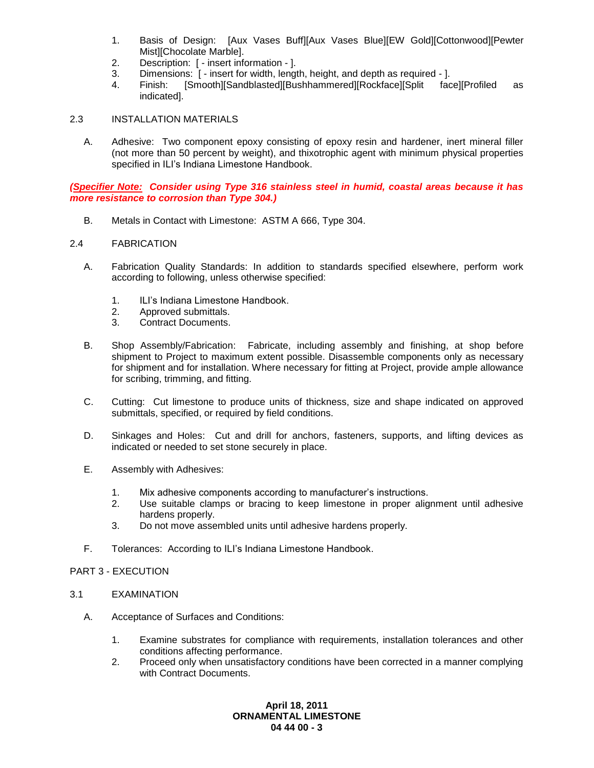- 1. Basis of Design: [Aux Vases Buff][Aux Vases Blue][EW Gold][Cottonwood][Pewter Mist][Chocolate Marble].
- 2. Description: [ insert information ].
- 3. Dimensions: [ insert for width, length, height, and depth as required ].
- 4. Finish: [Smooth][Sandblasted][Bushhammered][Rockface][Split face][Profiled as indicated].

# 2.3 INSTALLATION MATERIALS

A. Adhesive: Two component epoxy consisting of epoxy resin and hardener, inert mineral filler (not more than 50 percent by weight), and thixotrophic agent with minimum physical properties specified in ILI's Indiana Limestone Handbook.

*(Specifier Note: Consider using Type 316 stainless steel in humid, coastal areas because it has more resistance to corrosion than Type 304.)* 

B. Metals in Contact with Limestone: ASTM A 666, Type 304.

### 2.4 FABRICATION

- A. Fabrication Quality Standards: In addition to standards specified elsewhere, perform work according to following, unless otherwise specified:
	- 1. ILI's Indiana Limestone Handbook.
	- 2. Approved submittals.
	- 3. Contract Documents.
- B. Shop Assembly/Fabrication: Fabricate, including assembly and finishing, at shop before shipment to Project to maximum extent possible. Disassemble components only as necessary for shipment and for installation. Where necessary for fitting at Project, provide ample allowance for scribing, trimming, and fitting.
- C. Cutting: Cut limestone to produce units of thickness, size and shape indicated on approved submittals, specified, or required by field conditions.
- D. Sinkages and Holes: Cut and drill for anchors, fasteners, supports, and lifting devices as indicated or needed to set stone securely in place.
- E. Assembly with Adhesives:
	- 1. Mix adhesive components according to manufacturer's instructions.
	- 2. Use suitable clamps or bracing to keep limestone in proper alignment until adhesive hardens properly.
	- 3. Do not move assembled units until adhesive hardens properly.
- F. Tolerances: According to ILI's Indiana Limestone Handbook.

#### PART 3 - EXECUTION

- 3.1 EXAMINATION
	- A. Acceptance of Surfaces and Conditions:
		- 1. Examine substrates for compliance with requirements, installation tolerances and other conditions affecting performance.
		- 2. Proceed only when unsatisfactory conditions have been corrected in a manner complying with Contract Documents.

# **April 18, 2011 ORNAMENTAL LIMESTONE 04 44 00 - 3**